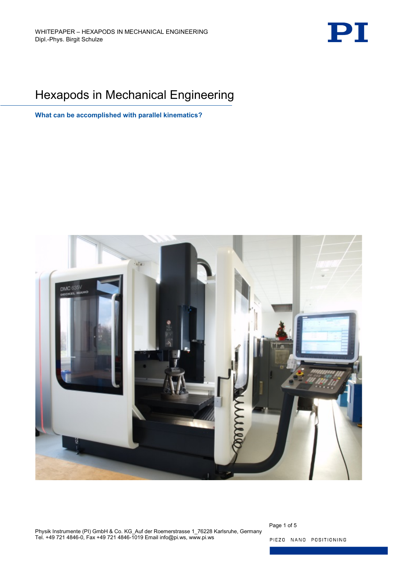

# Hexapods in Mechanical Engineering

**What can be accomplished with parallel kinematics?**



Physik Instrumente (PI) GmbH & Co. KG\_Auf der Roemerstrasse 1\_76228 Karlsruhe, Germany Tel. +49 721 4846-0, Fax +49 721 4846-1019 Email info@pi.ws, www.pi.ws

Page 1 of 5 PIEZO NANO POSITIONING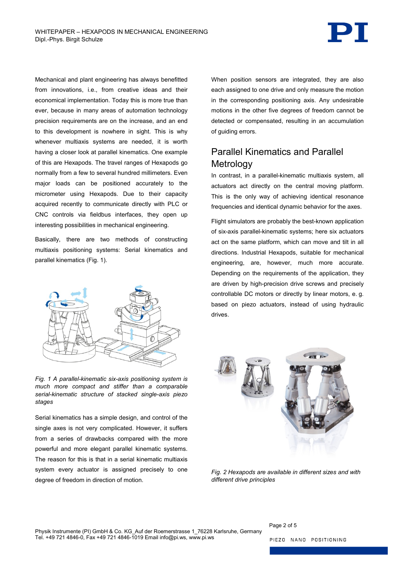Mechanical and plant engineering has always benefitted from innovations, i.e., from creative ideas and their economical implementation. Today this is more true than ever, because in many areas of automation technology precision requirements are on the increase, and an end to this development is nowhere in sight. This is why whenever multiaxis systems are needed, it is worth having a closer look at parallel kinematics. One example of this are Hexapods. The travel ranges of Hexapods go normally from a few to several hundred millimeters. Even major loads can be positioned accurately to the micrometer using Hexapods. Due to their capacity acquired recently to communicate directly with PLC or CNC controls via fieldbus interfaces, they open up interesting possibilities in mechanical engineering.

Basically, there are two methods of constructing multiaxis positioning systems: Serial kinematics and parallel kinematics [\(Fig. 1\)](#page-1-0).



<span id="page-1-0"></span>*Fig. 1 A parallel-kinematic six-axis positioning system is much more compact and stiffer than a comparable serial-kinematic structure of stacked single-axis piezo stages*

Serial kinematics has a simple design, and control of the single axes is not very complicated. However, it suffers from a series of drawbacks compared with the more powerful and more elegant parallel kinematic systems. The reason for this is that in a serial kinematic multiaxis system every actuator is assigned precisely to one degree of freedom in direction of motion.

When position sensors are integrated, they are also each assigned to one drive and only measure the motion in the corresponding positioning axis. Any undesirable motions in the other five degrees of freedom cannot be detected or compensated, resulting in an accumulation of guiding errors.

## Parallel Kinematics and Parallel **Metrology**

In contrast, in a parallel-kinematic multiaxis system, all actuators act directly on the central moving platform. This is the only way of achieving identical resonance frequencies and identical dynamic behavior for the axes.

Flight simulators are probably the best-known application of six-axis parallel-kinematic systems; here six actuators act on the same platform, which can move and tilt in all directions. Industrial Hexapods, suitable for mechanical engineering, are, however, much more accurate. Depending on the requirements of the application, they are driven by high-precision drive screws and precisely controllable DC motors or directly by linear motors, e. g. based on piezo actuators, instead of using hydraulic drives.



*Fig. 2 Hexapods are available in different sizes and with different drive principles*

<span id="page-1-1"></span>Page 2 of 5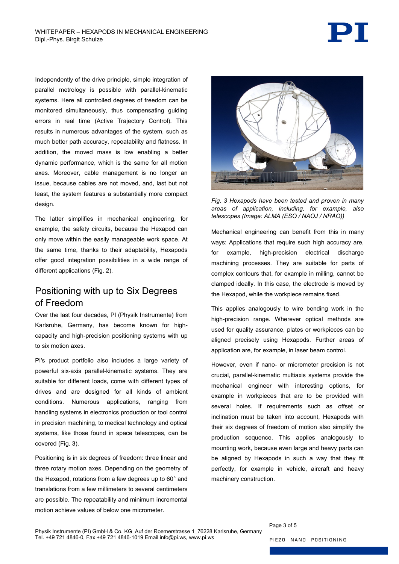PT

Independently of the drive principle, simple integration of parallel metrology is possible with parallel-kinematic systems. Here all controlled degrees of freedom can be monitored simultaneously, thus compensating guiding errors in real time (Active Trajectory Control). This results in numerous advantages of the system, such as much better path accuracy, repeatability and flatness. In addition, the moved mass is low enabling a better dynamic performance, which is the same for all motion axes. Moreover, cable management is no longer an issue, because cables are not moved, and, last but not least, the system features a substantially more compact design.

The latter simplifies in mechanical engineering, for example, the safety circuits, because the Hexapod can only move within the easily manageable work space. At the same time, thanks to their adaptability, Hexapods offer good integration possibilities in a wide range of different applications [\(Fig. 2\)](#page-1-1).

## Positioning with up to Six Degrees of Freedom

Over the last four decades, PI (Physik Instrumente) from Karlsruhe, Germany, has become known for highcapacity and high-precision positioning systems with up to six motion axes.

PI's product portfolio also includes a large variety of powerful six-axis parallel-kinematic systems. They are suitable for different loads, come with different types of drives and are designed for all kinds of ambient conditions. Numerous applications, ranging from handling systems in electronics production or tool control in precision machining, to medical technology and optical systems, like those found in space telescopes, can be covered [\(Fig. 3\)](#page-2-0).

Positioning is in six degrees of freedom: three linear and three rotary motion axes. Depending on the geometry of the Hexapod, rotations from a few degrees up to 60° and translations from a few millimeters to several centimeters are possible. The repeatability and minimum incremental motion achieve values of below one micrometer.



<span id="page-2-0"></span>*Fig. 3 Hexapods have been tested and proven in many areas of application, including, for example, also telescopes (Image: ALMA (ESO / NAOJ / NRAO))*

Mechanical engineering can benefit from this in many ways: Applications that require such high accuracy are, for example, high-precision electrical discharge machining processes. They are suitable for parts of complex contours that, for example in milling, cannot be clamped ideally. In this case, the electrode is moved by the Hexapod, while the workpiece remains fixed.

This applies analogously to wire bending work in the high-precision range. Wherever optical methods are used for quality assurance, plates or workpieces can be aligned precisely using Hexapods. Further areas of application are, for example, in laser beam control.

However, even if nano- or micrometer precision is not crucial, parallel-kinematic multiaxis systems provide the mechanical engineer with interesting options, for example in workpieces that are to be provided with several holes. If requirements such as offset or inclination must be taken into account, Hexapods with their six degrees of freedom of motion also simplify the production sequence. This applies analogously to mounting work, because even large and heavy parts can be aligned by Hexapods in such a way that they fit perfectly, for example in vehicle, aircraft and heavy machinery construction.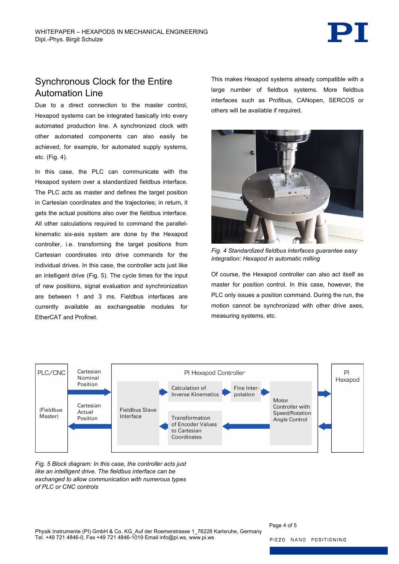

#### Synchronous Clock for the Entire Automation Line

Due to a direct connection to the master control, Hexapod systems can be integrated basically into every automated production line. A synchronized clock with other automated components can also easily be achieved, for example, for automated supply systems, etc. [\(Fig. 4\)](#page-3-0).

In this case, the PLC can communicate with the Hexapod system over a standardized fieldbus interface. The PLC acts as master and defines the target position in Cartesian coordinates and the trajectories; in return, it gets the actual positions also over the fieldbus interface. All other calculations required to command the parallelkinematic six-axis system are done by the Hexapod controller, i.e. transforming the target positions from Cartesian coordinates into drive commands for the individual drives. In this case, the controller acts just like an intelligent drive [\(Fig. 5\)](#page-3-1). The cycle times for the input of new positions, signal evaluation and synchronization are between 1 and 3 ms. Fieldbus interfaces are currently available as exchangeable modules for EtherCAT and Profinet.

This makes Hexapod systems already compatible with a large number of fieldbus systems. More fieldbus interfaces such as Profibus, CANopen, SERCOS or others will be available if required.



*Fig. 4 Standardized fieldbus interfaces guarantee easy integration: Hexapod in automatic milling*

<span id="page-3-0"></span>Of course, the Hexapod controller can also act itself as master for position control. In this case, however, the PLC only issues a position command. During the run, the motion cannot be synchronized with other drive axes, measuring systems, etc.



<span id="page-3-1"></span>*Fig. 5 Block diagram: In this case, the controller acts just like an intelligent drive. The fieldbus interface can be exchanged to allow communication with numerous types of PLC or CNC controls*

Page 4 of 5